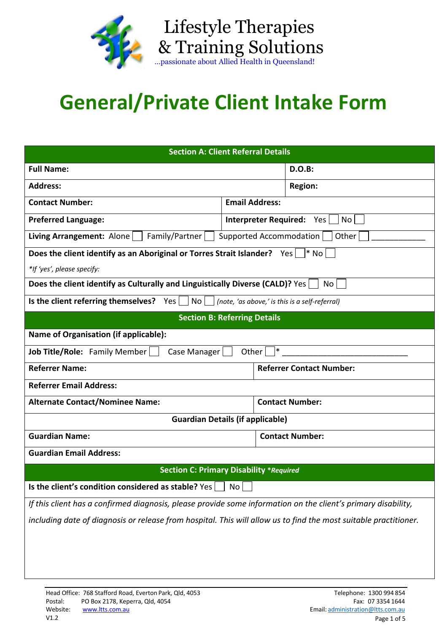

& Training Solutions …passionate about Allied Health in Queensland!

Lifestyle Therapies

## **General/Private Client Intake Form**

| <b>Section A: Client Referral Details</b>                                                                        |                                          |                        |                        |  |
|------------------------------------------------------------------------------------------------------------------|------------------------------------------|------------------------|------------------------|--|
| <b>Full Name:</b>                                                                                                |                                          |                        | <b>D.O.B:</b>          |  |
| <b>Address:</b><br><b>Region:</b>                                                                                |                                          |                        |                        |  |
| <b>Contact Number:</b>                                                                                           | <b>Email Address:</b>                    |                        |                        |  |
| <b>Preferred Language:</b>                                                                                       | <b>Interpreter Required:</b> Yes<br>No l |                        |                        |  |
| <b>Living Arrangement:</b> Alone $ $   Family/Partner $ $  <br>Supported Accommodation  <br>Other                |                                          |                        |                        |  |
| Does the client identify as an Aboriginal or Torres Strait Islander? Yes $\vert$ * No                            |                                          |                        |                        |  |
| *If 'yes', please specify:                                                                                       |                                          |                        |                        |  |
| Does the client identify as Culturally and Linguistically Diverse (CALD)? Yes<br>No.                             |                                          |                        |                        |  |
| Is the client referring themselves? $Yes \mid No \mid$<br>(note, 'as above,' is this is a self-referral)         |                                          |                        |                        |  |
| <b>Section B: Referring Details</b>                                                                              |                                          |                        |                        |  |
| Name of Organisation (if applicable):                                                                            |                                          |                        |                        |  |
| ∣∗<br><b>Job Title/Role:</b> Family Member<br>Other $ $<br>Case Manager                                          |                                          |                        |                        |  |
| <b>Referrer Name:</b><br><b>Referrer Contact Number:</b>                                                         |                                          |                        |                        |  |
| <b>Referrer Email Address:</b>                                                                                   |                                          |                        |                        |  |
| <b>Alternate Contact/Nominee Name:</b>                                                                           |                                          | <b>Contact Number:</b> |                        |  |
| <b>Guardian Details (if applicable)</b>                                                                          |                                          |                        |                        |  |
| <b>Guardian Name:</b>                                                                                            |                                          |                        | <b>Contact Number:</b> |  |
| <b>Guardian Email Address:</b>                                                                                   |                                          |                        |                        |  |
| <b>Section C: Primary Disability *Required</b>                                                                   |                                          |                        |                        |  |
| Is the client's condition considered as stable? Yes                                                              | No <sub>l</sub>                          |                        |                        |  |
| If this client has a confirmed diagnosis, please provide some information on the client's primary disability,    |                                          |                        |                        |  |
| including date of diagnosis or release from hospital. This will allow us to find the most suitable practitioner. |                                          |                        |                        |  |
|                                                                                                                  |                                          |                        |                        |  |
|                                                                                                                  |                                          |                        |                        |  |
|                                                                                                                  |                                          |                        |                        |  |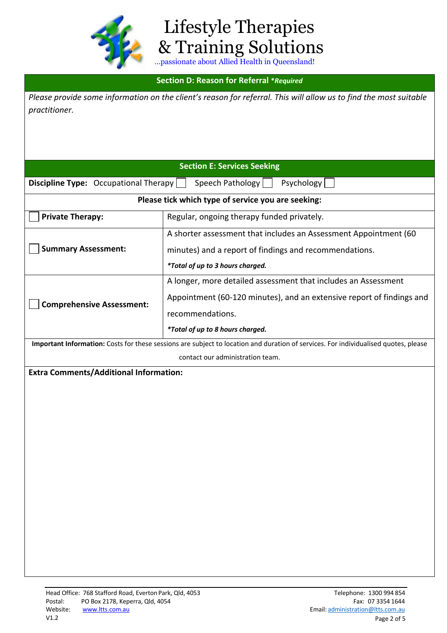

 Lifestyle Therapies & Training Solutions

## **Section D: Reason for Referral \****Required*

*Please provide some information on the client's reason for referral. This will allow us to find the most suitable practitioner.* 

| <b>Section E: Services Seeking</b> |
|------------------------------------|
|------------------------------------|

| <b>Discipline Type:</b> Occupational Therapy       | Psychology<br>Speech Pathology                                                                                                                                                                  |
|----------------------------------------------------|-------------------------------------------------------------------------------------------------------------------------------------------------------------------------------------------------|
| Please tick which type of service you are seeking: |                                                                                                                                                                                                 |
| <b>Private Therapy:</b>                            | Regular, ongoing therapy funded privately.                                                                                                                                                      |
| <b>Summary Assessment:</b>                         | A shorter assessment that includes an Assessment Appointment (60<br>minutes) and a report of findings and recommendations.<br>*Total of up to 3 hours charged.                                  |
| <b>Comprehensive Assessment:</b>                   | A longer, more detailed assessment that includes an Assessment<br>Appointment (60-120 minutes), and an extensive report of findings and<br>recommendations.<br>*Total of up to 8 hours charged. |
|                                                    | Important Information: Costs for these sessions are subject to location and duration of services. For individualised quotes, please                                                             |

contact our administration team.

**Extra Comments/Additional Information:**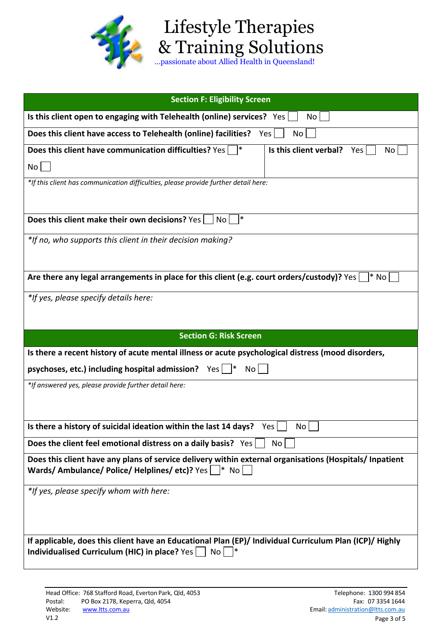

## Lifestyle Therapies & Training Solutions …passionate about Allied Health in Queensland!

| Is this client open to engaging with Telehealth (online) services? Yes<br>No  <br>Does this client have access to Telehealth (online) facilities? Yes<br>No  |
|--------------------------------------------------------------------------------------------------------------------------------------------------------------|
|                                                                                                                                                              |
|                                                                                                                                                              |
| ∣∗<br>Is this client verbal?<br>Does this client have communication difficulties? Yes<br>No<br>Yes                                                           |
| $No$ $ $                                                                                                                                                     |
| *If this client has communication difficulties, please provide further detail here:                                                                          |
|                                                                                                                                                              |
| ∗<br>Does this client make their own decisions? Yes<br>No                                                                                                    |
| *If no, who supports this client in their decision making?                                                                                                   |
|                                                                                                                                                              |
| Are there any legal arrangements in place for this client (e.g. court orders/custody)? Yes $ $<br>l* No                                                      |
| *If yes, please specify details here:                                                                                                                        |
|                                                                                                                                                              |
| <b>Section G: Risk Screen</b>                                                                                                                                |
| Is there a recent history of acute mental illness or acute psychological distress (mood disorders,                                                           |
| psychoses, etc.) including hospital admission? $Yes \mid  *$<br>$\overline{N}$ o $\vert$                                                                     |
| *If answered yes, please provide further detail here:                                                                                                        |
|                                                                                                                                                              |
| Is there a history of suicidal ideation within the last 14 days? $Yes \cup No \cup$                                                                          |
|                                                                                                                                                              |
|                                                                                                                                                              |
| Does the client feel emotional distress on a daily basis? Yes<br>No                                                                                          |
| Does this client have any plans of service delivery within external organisations (Hospitals/ Inpatient<br>Wards/Ambulance/Police/Helplines/etc)? Yes   * No |
| *If yes, please specify whom with here:                                                                                                                      |
|                                                                                                                                                              |
|                                                                                                                                                              |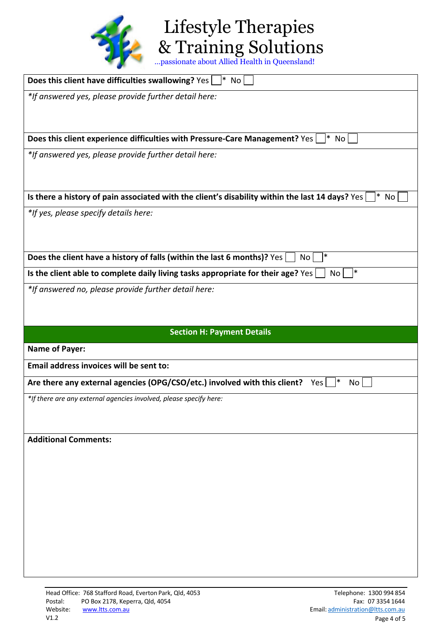

Lifestyle Therapies & Training Solutions

| Does this client have difficulties swallowing? Yes [<br>$ *$ No                                            |
|------------------------------------------------------------------------------------------------------------|
| *If answered yes, please provide further detail here:                                                      |
|                                                                                                            |
|                                                                                                            |
| Does this client experience difficulties with Pressure-Care Management? Yes<br>l* No                       |
| *If answered yes, please provide further detail here:                                                      |
|                                                                                                            |
|                                                                                                            |
| Is there a history of pain associated with the client's disability within the last 14 days? Yes<br>$ *$ No |
| *If yes, please specify details here:                                                                      |
|                                                                                                            |
| ∣∗                                                                                                         |
| Does the client have a history of falls (within the last 6 months)? Yes<br>No                              |
| ∗<br>Is the client able to complete daily living tasks appropriate for their age? Yes<br>No                |
| *If answered no, please provide further detail here:                                                       |
|                                                                                                            |
|                                                                                                            |
| <b>Section H: Payment Details</b>                                                                          |
| <b>Name of Payer:</b>                                                                                      |
| Email address invoices will be sent to:                                                                    |
|                                                                                                            |
| Are there any external agencies (OPG/CSO/etc.) involved with this client?<br>Yes<br>No l                   |
| *If there are any external agencies involved, please specify here:                                         |
|                                                                                                            |
|                                                                                                            |
| <b>Additional Comments:</b>                                                                                |
|                                                                                                            |
|                                                                                                            |
|                                                                                                            |
|                                                                                                            |
|                                                                                                            |
|                                                                                                            |
|                                                                                                            |
|                                                                                                            |
|                                                                                                            |